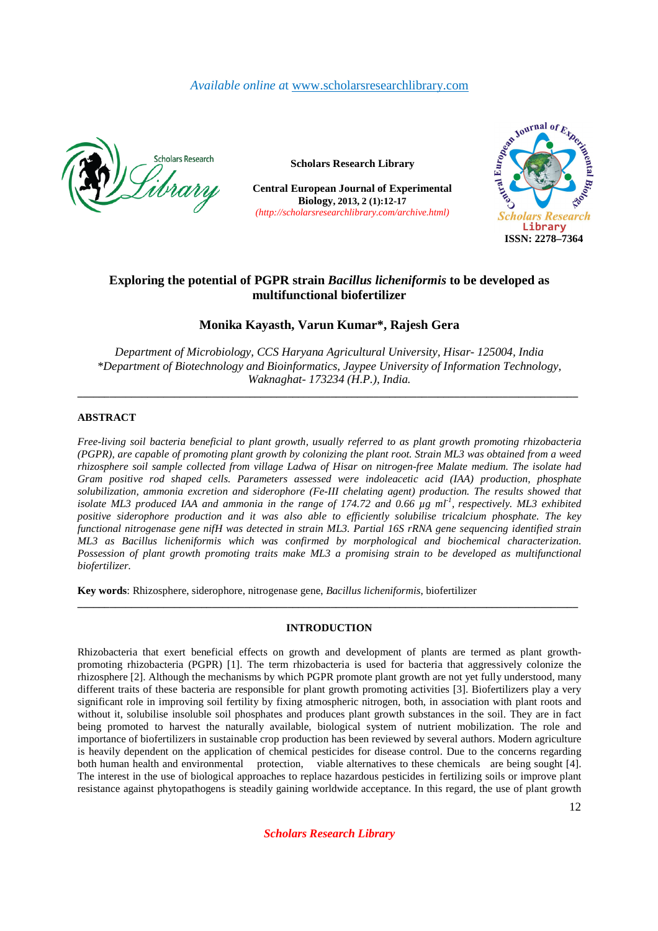# *Available online a*t www.scholarsresearchlibrary.com



**Scholars Research Library**

**Central European Journal of Experimental Biology, 2013, 2 (1):12-17**  *(http://scholarsresearchlibrary.com/archive.html)*



# **Exploring the potential of PGPR strain** *Bacillus licheniformis* **to be developed as multifunctional biofertilizer**

# **Monika Kayasth, Varun Kumar\*, Rajesh Gera**

*Department of Microbiology, CCS Haryana Agricultural University, Hisar- 125004, India \*Department of Biotechnology and Bioinformatics, Jaypee University of Information Technology, Waknaghat- 173234 (H.P.), India.* 

**\_\_\_\_\_\_\_\_\_\_\_\_\_\_\_\_\_\_\_\_\_\_\_\_\_\_\_\_\_\_\_\_\_\_\_\_\_\_\_\_\_\_\_\_\_\_\_\_\_\_\_\_\_\_\_\_\_\_\_\_\_\_\_\_\_\_\_\_\_\_\_\_\_\_\_\_\_\_\_\_\_\_\_\_\_\_\_\_\_\_\_\_\_** 

## **ABSTRACT**

*Free-living soil bacteria beneficial to plant growth, usually referred to as plant growth promoting rhizobacteria (PGPR), are capable of promoting plant growth by colonizing the plant root. Strain ML3 was obtained from a weed rhizosphere soil sample collected from village Ladwa of Hisar on nitrogen-free Malate medium. The isolate had Gram positive rod shaped cells. Parameters assessed were indoleacetic acid (IAA) production, phosphate solubilization, ammonia excretion and siderophore (Fe-III chelating agent) production. The results showed that isolate ML3 produced IAA and ammonia in the range of 174.72 and 0.66 µg ml-1 , respectively. ML3 exhibited positive siderophore production and it was also able to efficiently solubilise tricalcium phosphate. The key functional nitrogenase gene nifH was detected in strain ML3. Partial 16S rRNA gene sequencing identified strain ML3 as Bacillus licheniformis which was confirmed by morphological and biochemical characterization. Possession of plant growth promoting traits make ML3 a promising strain to be developed as multifunctional biofertilizer.* 

**Key words**: Rhizosphere, siderophore, nitrogenase gene, *Bacillus licheniformis*, biofertilizer

## **INTRODUCTION**

**\_\_\_\_\_\_\_\_\_\_\_\_\_\_\_\_\_\_\_\_\_\_\_\_\_\_\_\_\_\_\_\_\_\_\_\_\_\_\_\_\_\_\_\_\_\_\_\_\_\_\_\_\_\_\_\_\_\_\_\_\_\_\_\_\_\_\_\_\_\_\_\_\_\_\_\_\_\_\_\_\_\_\_\_\_\_\_\_\_\_\_\_\_** 

Rhizobacteria that exert beneficial effects on growth and development of plants are termed as plant growthpromoting rhizobacteria (PGPR) [1]. The term rhizobacteria is used for bacteria that aggressively colonize the rhizosphere [2]. Although the mechanisms by which PGPR promote plant growth are not yet fully understood, many different traits of these bacteria are responsible for plant growth promoting activities [3]. Biofertilizers play a very significant role in improving soil fertility by fixing atmospheric nitrogen, both, in association with plant roots and without it, solubilise insoluble soil phosphates and produces plant growth substances in the soil. They are in fact being promoted to harvest the naturally available, biological system of nutrient mobilization. The role and importance of biofertilizers in sustainable crop production has been reviewed by several authors. Modern agriculture is heavily dependent on the application of chemical pesticides for disease control. Due to the concerns regarding both human health and environmental protection, viable alternatives to these chemicals are being sought [4]. The interest in the use of biological approaches to replace hazardous pesticides in fertilizing soils or improve plant resistance against phytopathogens is steadily gaining worldwide acceptance. In this regard, the use of plant growth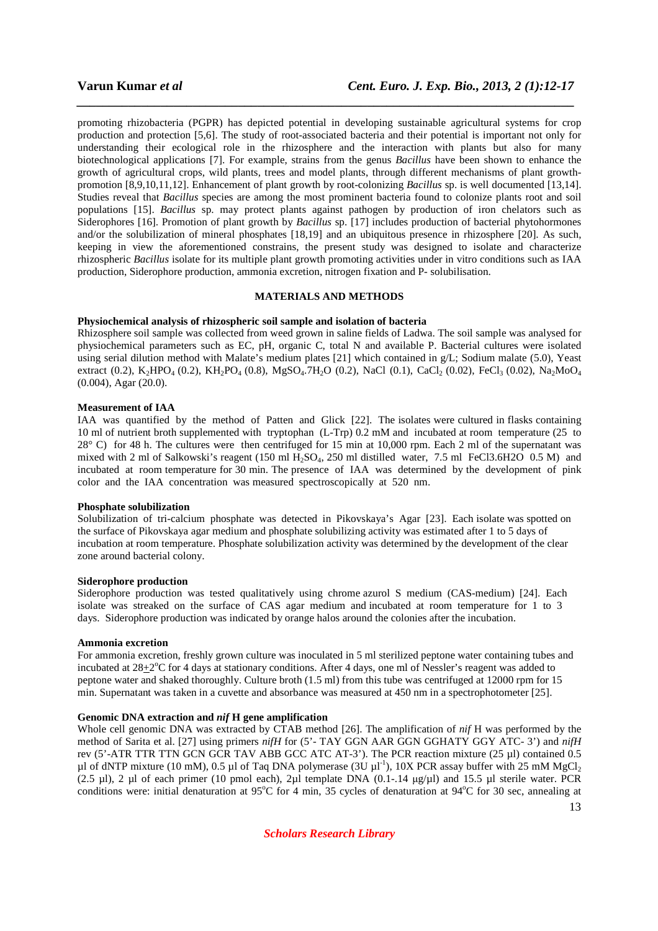promoting rhizobacteria (PGPR) has depicted potential in developing sustainable agricultural systems for crop production and protection [5,6]. The study of root-associated bacteria and their potential is important not only for understanding their ecological role in the rhizosphere and the interaction with plants but also for many biotechnological applications [7]. For example, strains from the genus *Bacillus* have been shown to enhance the growth of agricultural crops, wild plants, trees and model plants, through different mechanisms of plant growthpromotion [8,9,10,11,12]. Enhancement of plant growth by root-colonizing *Bacillus* sp. is well documented [13,14]. Studies reveal that *Bacillus* species are among the most prominent bacteria found to colonize plants root and soil populations [15]. *Bacillus* sp. may protect plants against pathogen by production of iron chelators such as Siderophores [16]. Promotion of plant growth by *Bacillus* sp. [17] includes production of bacterial phytohormones and/or the solubilization of mineral phosphates [18,19] and an ubiquitous presence in rhizosphere [20]. As such, keeping in view the aforementioned constrains, the present study was designed to isolate and characterize rhizospheric *Bacillus* isolate for its multiple plant growth promoting activities under in vitro conditions such as IAA production, Siderophore production, ammonia excretion, nitrogen fixation and P- solubilisation.

*\_\_\_\_\_\_\_\_\_\_\_\_\_\_\_\_\_\_\_\_\_\_\_\_\_\_\_\_\_\_\_\_\_\_\_\_\_\_\_\_\_\_\_\_\_\_\_\_\_\_\_\_\_\_\_\_\_\_\_\_\_\_\_\_\_\_\_\_\_\_\_\_\_\_\_\_\_*

## **MATERIALS AND METHODS**

#### **Physiochemical analysis of rhizospheric soil sample and isolation of bacteria**

Rhizosphere soil sample was collected from weed grown in saline fields of Ladwa. The soil sample was analysed for physiochemical parameters such as EC, pH, organic C, total N and available P. Bacterial cultures were isolated using serial dilution method with Malate's medium plates [21] which contained in g/L; Sodium malate (5.0), Yeast extract (0.2), K<sub>2</sub>HPO<sub>4</sub> (0.2), KH<sub>2</sub>PO<sub>4</sub> (0.8), MgSO<sub>4</sub>.7H<sub>2</sub>O (0.2), NaCl (0.1), CaCl<sub>2</sub> (0.02), FeCl<sub>3</sub> (0.02), Na<sub>2</sub>MoO<sub>4</sub> (0.004), Agar (20.0).

#### **Measurement of IAA**

IAA was quantified by the method of Patten and Glick [22]. The isolates were cultured in flasks containing 10 ml of nutrient broth supplemented with tryptophan (L-Trp) 0.2 mM and incubated at room temperature (25 to 28° C) for 48 h. The cultures were then centrifuged for 15 min at 10,000 rpm. Each 2 ml of the supernatant was mixed with 2 ml of Salkowski's reagent (150 ml H<sub>2</sub>SO<sub>4</sub>, 250 ml distilled water, 7.5 ml FeCl3.6H2O 0.5 M) and incubated at room temperature for 30 min. The presence of IAA was determined by the development of pink color and the IAA concentration was measured spectroscopically at 520 nm.

#### **Phosphate solubilization**

Solubilization of tri-calcium phosphate was detected in Pikovskaya's Agar [23]. Each isolate was spotted on the surface of Pikovskaya agar medium and phosphate solubilizing activity was estimated after 1 to 5 days of incubation at room temperature. Phosphate solubilization activity was determined by the development of the clear zone around bacterial colony.

#### **Siderophore production**

Siderophore production was tested qualitatively using chrome azurol S medium (CAS-medium) [24]. Each isolate was streaked on the surface of CAS agar medium and incubated at room temperature for 1 to 3 days. Siderophore production was indicated by orange halos around the colonies after the incubation.

#### **Ammonia excretion**

For ammonia excretion, freshly grown culture was inoculated in 5 ml sterilized peptone water containing tubes and incubated at  $28 \pm 2$ °C for 4 days at stationary conditions. After 4 days, one ml of Nessler's reagent was added to peptone water and shaked thoroughly. Culture broth (1.5 ml) from this tube was centrifuged at 12000 rpm for 15 min. Supernatant was taken in a cuvette and absorbance was measured at 450 nm in a spectrophotometer [25].

### **Genomic DNA extraction and** *nif* **H gene amplification**

Whole cell genomic DNA was extracted by CTAB method [26]. The amplification of *nif* H was performed by the method of Sarita et al. [27] using primers *nifH* for (5'- TAY GGN AAR GGN GGHATY GGY ATC- 3') and *nifH*  rev (5'-ATR TTR TTN GCN GCR TAV ABB GCC ATC AT-3'). The PCR reaction mixture (25 µl) contained 0.5 µl of dNTP mixture (10 mM), 0.5 µl of Taq DNA polymerase (3U  $\mu$ l<sup>-1</sup>), 10X PCR assay buffer with 25 mM MgCl<sub>2</sub> (2.5 µl), 2 µl of each primer (10 pmol each), 2µl template DNA  $(0.1-14 \mu g/\mu l)$  and 15.5 µl sterile water. PCR conditions were: initial denaturation at 95 $\degree$ C for 4 min, 35 cycles of denaturation at 94 $\degree$ C for 30 sec, annealing at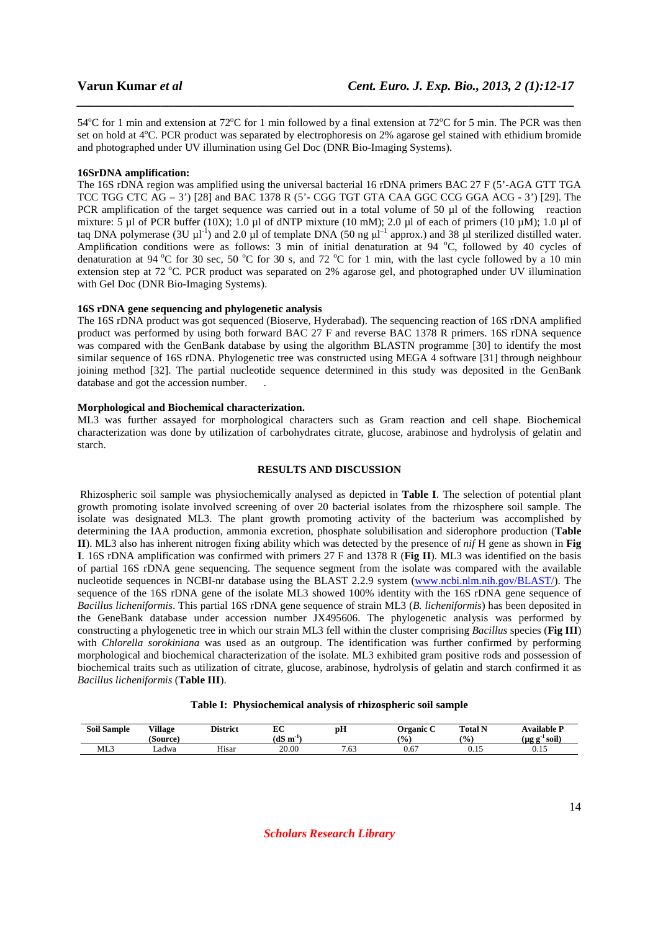54<sup>o</sup>C for 1 min and extension at 72<sup>o</sup>C for 1 min followed by a final extension at 72<sup>o</sup>C for 5 min. The PCR was then set on hold at 4<sup>o</sup>C. PCR product was separated by electrophoresis on 2% agarose gel stained with ethidium bromide and photographed under UV illumination using Gel Doc (DNR Bio-Imaging Systems).

*\_\_\_\_\_\_\_\_\_\_\_\_\_\_\_\_\_\_\_\_\_\_\_\_\_\_\_\_\_\_\_\_\_\_\_\_\_\_\_\_\_\_\_\_\_\_\_\_\_\_\_\_\_\_\_\_\_\_\_\_\_\_\_\_\_\_\_\_\_\_\_\_\_\_\_\_\_*

#### **16SrDNA amplification:**

The 16S rDNA region was amplified using the universal bacterial 16 rDNA primers BAC 27 F (5'-AGA GTT TGA TCC TGG CTC  $AG - 3'$ ) [28] and BAC 1378 R (5'- CGG TGT GTA CAA GGC CCG GGA ACG - 3') [29]. The PCR amplification of the target sequence was carried out in a total volume of 50 µl of the following reaction mixture: 5 µl of PCR buffer (10X); 1.0 µl of dNTP mixture (10 mM); 2.0 µl of each of primers (10 µM); 1.0 µl of taq DNA polymerase (3U  $\mu$ l<sup>-1</sup>) and 2.0  $\mu$ l of template DNA (50 ng  $\mu$ l<sup>-1</sup> approx.) and 38  $\mu$ l sterilized distilled water. Amplification conditions were as follows: 3 min of initial denaturation at 94  $^{\circ}$ C, followed by 40 cycles of denaturation at 94 °C for 30 sec, 50 °C for 30 s, and 72 °C for 1 min, with the last cycle followed by a 10 min extension step at 72 °C. PCR product was separated on 2% agarose gel, and photographed under UV illumination with Gel Doc (DNR Bio-Imaging Systems).

### **16S rDNA gene sequencing and phylogenetic analysis**

The 16S rDNA product was got sequenced (Bioserve, Hyderabad). The sequencing reaction of 16S rDNA amplified product was performed by using both forward BAC 27 F and reverse BAC 1378 R primers. 16S rDNA sequence was compared with the GenBank database by using the algorithm BLASTN programme [30] to identify the most similar sequence of 16S rDNA. Phylogenetic tree was constructed using MEGA 4 software [31] through neighbour joining method [32]. The partial nucleotide sequence determined in this study was deposited in the GenBank database and got the accession number.

## **Morphological and Biochemical characterization.**

ML3 was further assayed for morphological characters such as Gram reaction and cell shape. Biochemical characterization was done by utilization of carbohydrates citrate, glucose, arabinose and hydrolysis of gelatin and starch.

# **RESULTS AND DISCUSSION**

 Rhizospheric soil sample was physiochemically analysed as depicted in **Table I**. The selection of potential plant growth promoting isolate involved screening of over 20 bacterial isolates from the rhizosphere soil sample. The isolate was designated ML3. The plant growth promoting activity of the bacterium was accomplished by determining the IAA production, ammonia excretion, phosphate solubilisation and siderophore production (**Table II**). ML3 also has inherent nitrogen fixing ability which was detected by the presence of *nif* H gene as shown in **Fig I**. 16S rDNA amplification was confirmed with primers 27 F and 1378 R (**Fig II**). ML3 was identified on the basis of partial 16S rDNA gene sequencing. The sequence segment from the isolate was compared with the available nucleotide sequences in NCBI-nr database using the BLAST 2.2.9 system (www.ncbi.nlm.nih.gov/BLAST/). The sequence of the 16S rDNA gene of the isolate ML3 showed 100% identity with the 16S rDNA gene sequence of *Bacillus licheniformis*. This partial 16S rDNA gene sequence of strain ML3 (*B. licheniformis*) has been deposited in the GeneBank database under accession number JX495606. The phylogenetic analysis was performed by constructing a phylogenetic tree in which our strain ML3 fell within the cluster comprising *Bacillus* species (**Fig III**) with *Chlorella sorokiniana* was used as an outgroup. The identification was further confirmed by performing morphological and biochemical characterization of the isolate. ML3 exhibited gram positive rods and possession of biochemical traits such as utilization of citrate, glucose, arabinose, hydrolysis of gelatin and starch confirmed it as *Bacillus licheniformis* (**Table III**).

#### **Table I: Physiochemical analysis of rhizospheric soil sample**

| <b>Soil Sample</b> | Village<br>(Source) | <b>District</b> | юc<br>n.<br>(dS m<br>- 1 | pН  | <b>Drganic</b><br>$\frac{1}{2}$ | <b>Total N</b><br>(0/0) | Available P<br>$\bullet$ m $^{\circ}$<br>' soil)<br>$\mathbf{u}$<br>-98 |
|--------------------|---------------------|-----------------|--------------------------|-----|---------------------------------|-------------------------|-------------------------------------------------------------------------|
| ML3                | Ladwa               | Hisar           | 20.00                    | .63 | 0.67                            | v.                      | v. i J                                                                  |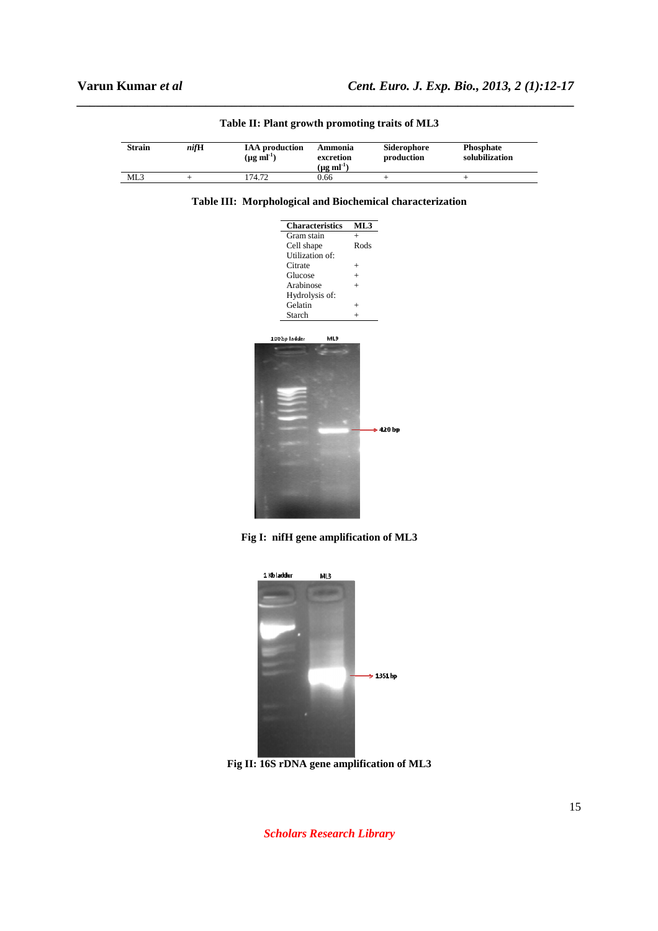| <b>Strain</b> | nifH | <b>IAA</b> production<br>$(\mu g \text{ ml}^{-1})$ | Ammonia<br>excretion<br>$(\mu g \text{ ml}^{-1})$ | Siderophore<br>production | <b>Phosphate</b><br>solubilization |
|---------------|------|----------------------------------------------------|---------------------------------------------------|---------------------------|------------------------------------|
| ML3           |      | 74.72                                              | 0.66                                              |                           |                                    |

*\_\_\_\_\_\_\_\_\_\_\_\_\_\_\_\_\_\_\_\_\_\_\_\_\_\_\_\_\_\_\_\_\_\_\_\_\_\_\_\_\_\_\_\_\_\_\_\_\_\_\_\_\_\_\_\_\_\_\_\_\_\_\_\_\_\_\_\_\_\_\_\_\_\_\_\_\_*

**Table II: Plant growth promoting traits of ML3** 





| Characteristics      | ML3           |
|----------------------|---------------|
| Gram stain           | $+$           |
| Cell shape           | Rods          |
| Utilization of:      |               |
| Citrate              | $^{+}$        |
| Glucose              | $\ddot{}$     |
| Arabinose            | $\ddot{}$     |
| Hydrolysis of:       |               |
| Gelatin              | $+$           |
| Starch               | $^{+}$        |
|                      |               |
| ML3<br>100 bp Tadder |               |
|                      |               |
|                      |               |
|                      |               |
|                      |               |
|                      |               |
|                      |               |
|                      |               |
|                      |               |
|                      |               |
|                      | $\geq 420$ bp |
|                      |               |
|                      |               |
|                      |               |
|                      |               |
|                      |               |
|                      |               |
|                      |               |
|                      |               |
|                      |               |

**Fig I: nifH gene amplification of ML3** 



**Fig II: 16S rDNA gene amplification of ML3**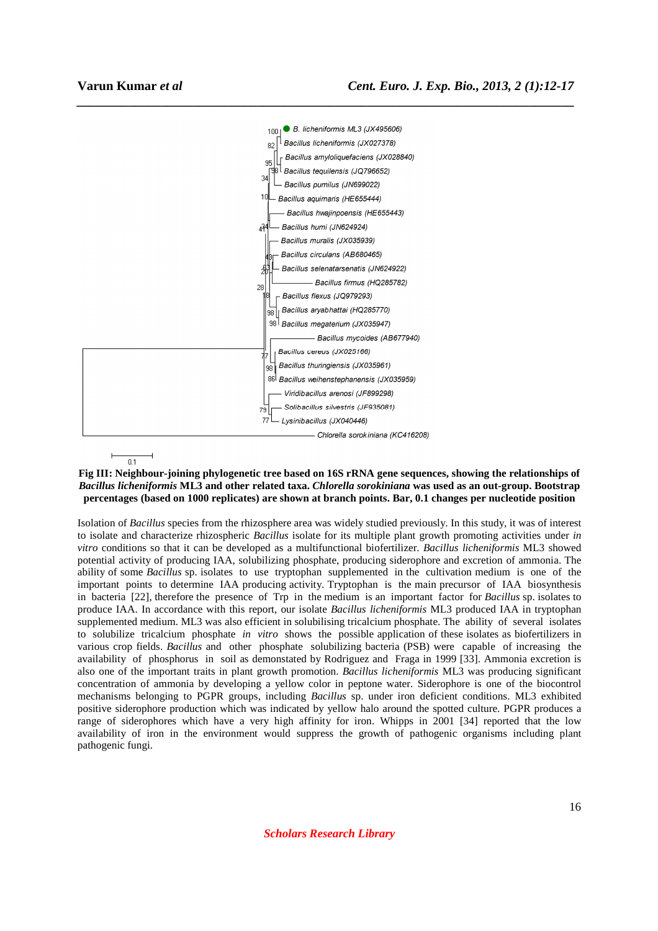

 $01$ 

#### **Fig III: Neighbour-joining phylogenetic tree based on 16S rRNA gene sequences, showing the relationships of**  *Bacillus licheniformis* **ML3 and other related taxa.** *Chlorella sorokiniana* **was used as an out-group. Bootstrap percentages (based on 1000 replicates) are shown at branch points. Bar, 0.1 changes per nucleotide position**

*\_\_\_\_\_\_\_\_\_\_\_\_\_\_\_\_\_\_\_\_\_\_\_\_\_\_\_\_\_\_\_\_\_\_\_\_\_\_\_\_\_\_\_\_\_\_\_\_\_\_\_\_\_\_\_\_\_\_\_\_\_\_\_\_\_\_\_\_\_\_\_\_\_\_\_\_\_*

Isolation of *Bacillus* species from the rhizosphere area was widely studied previously. In this study, it was of interest to isolate and characterize rhizospheric *Bacillus* isolate for its multiple plant growth promoting activities under *in vitro* conditions so that it can be developed as a multifunctional biofertilizer. *Bacillus licheniformis* ML3 showed potential activity of producing IAA, solubilizing phosphate, producing siderophore and excretion of ammonia. The ability of some *Bacillus* sp. isolates to use tryptophan supplemented in the cultivation medium is one of the important points to determine IAA producing activity. Tryptophan is the main precursor of IAA biosynthesis in bacteria [22], therefore the presence of Trp in the medium is an important factor for *Bacillus* sp. isolates to produce IAA. In accordance with this report, our isolate *Bacillus licheniformis* ML3 produced IAA in tryptophan supplemented medium. ML3 was also efficient in solubilising tricalcium phosphate. The ability of several isolates to solubilize tricalcium phosphate *in vitro* shows the possible application of these isolates as biofertilizers in various crop fields. *Bacillus* and other phosphate solubilizing bacteria (PSB) were capable of increasing the availability of phosphorus in soil as demonstated by Rodriguez and Fraga in 1999 [33]. Ammonia excretion is also one of the important traits in plant growth promotion. *Bacillus licheniformis* ML3 was producing significant concentration of ammonia by developing a yellow color in peptone water. Siderophore is one of the biocontrol mechanisms belonging to PGPR groups, including *Bacillus* sp. under iron deficient conditions. ML3 exhibited positive siderophore production which was indicated by yellow halo around the spotted culture. PGPR produces a range of siderophores which have a very high affinity for iron. Whipps in 2001 [34] reported that the low availability of iron in the environment would suppress the growth of pathogenic organisms including plant pathogenic fungi.